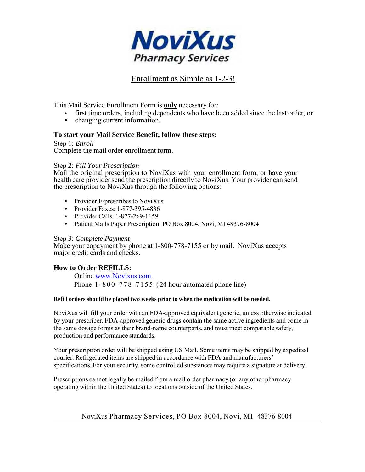

# Enrollment as Simple as 1-2-3!

This Mail Service Enrollment Form is **only** necessary for:

- first time orders, including dependents who have been added since the last order, or
- changing current information.

### **To start your Mail Service Benefit, follow these steps:**

Step 1: *Enroll* Complete the mail order enrollment form.

#### Step 2: *Fill Your Prescription*

Mail the original prescription to NoviXus with your enrollment form, or have your health care provider send the prescription directly to NoviXus. Your provider can send the prescription to NoviXus through the following options:

- Provider E-prescribes to NoviXus
- Provider Faxes: 1-877-395-4836
- Provider Calls: 1-877-269-1159
- Patient Mails Paper Prescription: PO Box 8004, Novi, MI 48376-8004

#### Step 3: *Complete Payment*

Make your copayment by phone at 1-800-778-7155 or by mail. NoviXus accepts major credit cards and checks.

### **How to Order REFILLS:**

Online [www.Novixus.com](http://www.novixus.com/)  Phone  $1 - 800 - 778 - 7155$  (24 hour automated phone line)

#### **Refill orders should be placed two weeks prior to when the medication will be needed.**

NoviXus will fill your order with an FDA-approved equivalent generic, unless otherwise indicated by your prescriber. FDA-approved generic drugs contain the same active ingredients and come in the same dosage forms as their brand-name counterparts, and must meet comparable safety, production and performance standards.

Your prescription order will be shipped using US Mail. Some items may be shipped by expedited courier. Refrigerated items are shipped in accordance with FDA and manufacturers' specifications. For your security, some controlled substances may require a signature at delivery.

Prescriptions cannot legally be mailed from a mail order pharmacy (or any other pharmacy operating within the United States) to locations outside of the United States.

### NoviXus Pharmacy Services, PO Box 8004, Novi, MI 48376-8004